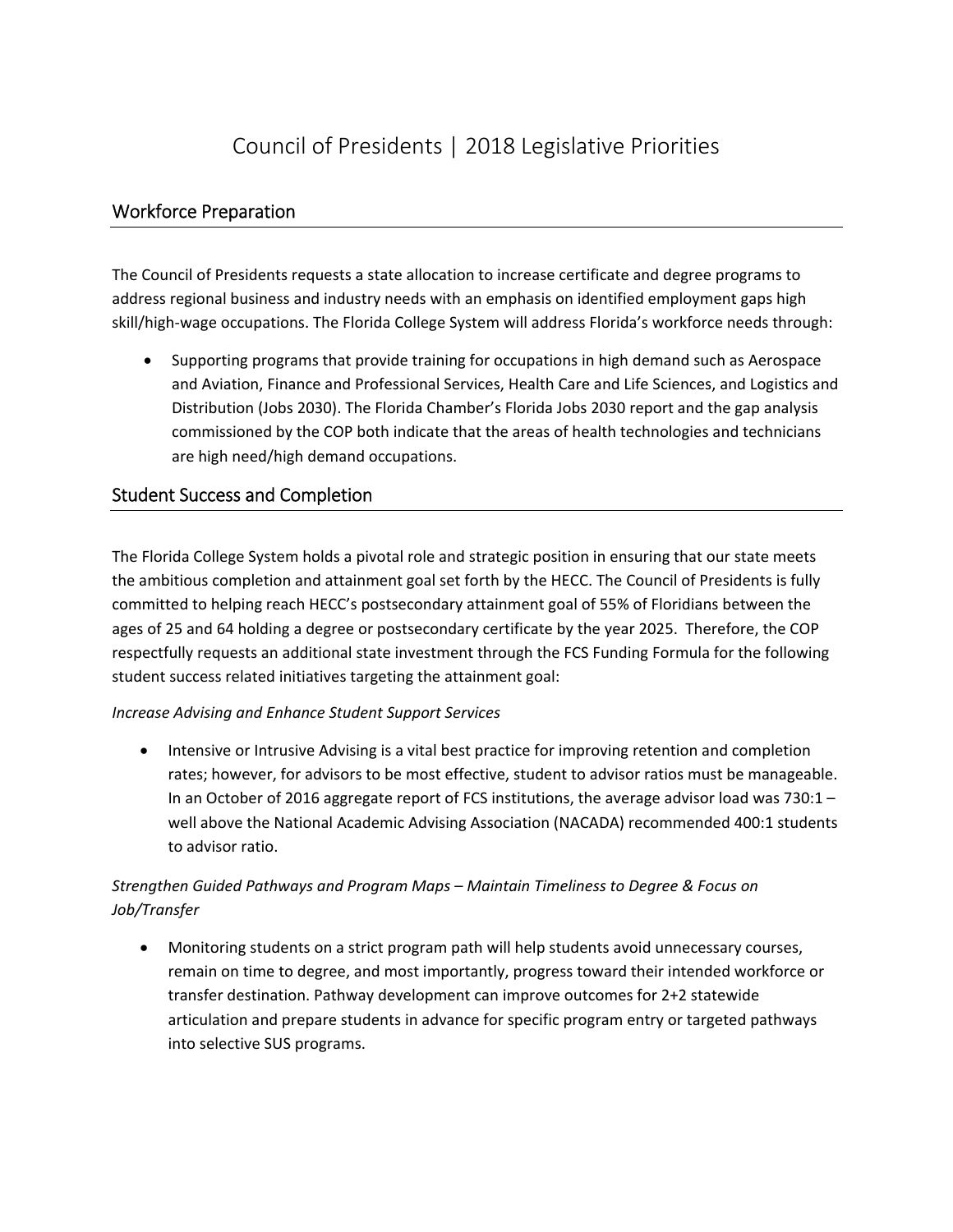# Council of Presidents | 2018 Legislative Priorities

## Workforce Preparation

 The Council of Presidents requests a state allocation to increase certificate and degree programs to address regional business and industry needs with an emphasis on identified employment gaps high skill/high‐wage occupations. The Florida College System will address Florida's workforce needs through:

 Supporting programs that provide training for occupations in high demand such as Aerospace and Aviation, Finance and Professional Services, Health Care and Life Sciences, and Logistics and Distribution (Jobs 2030). The Florida Chamber's Florida Jobs 2030 report and the gap analysis commissioned by the COP both indicate that the areas of health technologies and technicians are high need/high demand occupations.

## Student Success and Completion

 The Florida College System holds a pivotal role and strategic position in ensuring that our state meets the ambitious completion and attainment goal set forth by the HECC. The Council of Presidents is fully committed to helping reach HECC's postsecondary attainment goal of 55% of Floridians between the ages of 25 and 64 holding a degree or postsecondary certificate by the year 2025. Therefore, the COP respectfully requests an additional state investment through the FCS Funding Formula for the following student success related initiatives targeting the attainment goal:

#### *Increase Advising and Enhance Student Support Services*

• Intensive or Intrusive Advising is a vital best practice for improving retention and completion rates; however, for advisors to be most effective, student to advisor ratios must be manageable. In an October of 2016 aggregate report of FCS institutions, the average advisor load was 730:1 – well above the National Academic Advising Association (NACADA) recommended 400:1 students to advisor ratio.

## *Strengthen Guided Pathways and Program Maps – Maintain Timeliness to Degree & Focus on Job/Transfer*

 Monitoring students on a strict program path will help students avoid unnecessary courses, remain on time to degree, and most importantly, progress toward their intended workforce or transfer destination. Pathway development can improve outcomes for 2+2 statewide articulation and prepare students in advance for specific program entry or targeted pathways into selective SUS programs.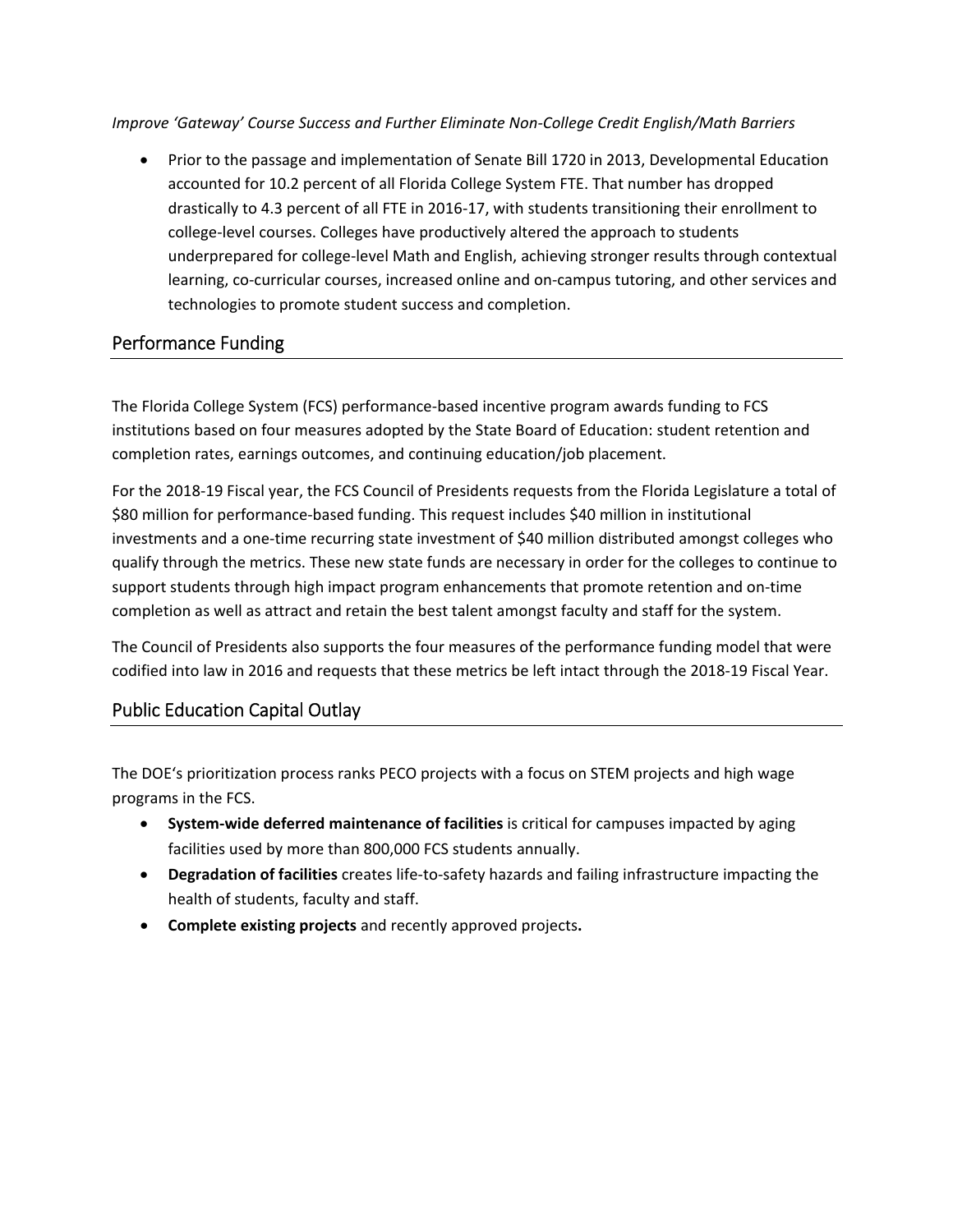*Improve 'Gateway' Course Success and Further Eliminate Non‐College Credit English/Math Barriers*

• Prior to the passage and implementation of Senate Bill 1720 in 2013, Developmental Education accounted for 10.2 percent of all Florida College System FTE. That number has dropped drastically to 4.3 percent of all FTE in 2016‐17, with students transitioning their enrollment to college‐level courses. Colleges have productively altered the approach to students underprepared for college‐level Math and English, achieving stronger results through contextual learning, co‐curricular courses, increased online and on‐campus tutoring, and other services and technologies to promote student success and completion.

## Performance Funding

 The Florida College System (FCS) performance‐based incentive program awards funding to FCS institutions based on four measures adopted by the State Board of Education: student retention and completion rates, earnings outcomes, and continuing education/job placement.

 For the 2018‐19 Fiscal year, the FCS Council of Presidents requests from the Florida Legislature a total of \$80 million for performance‐based funding. This request includes \$40 million in institutional investments and a one‐time recurring state investment of \$40 million distributed amongst colleges who qualify through the metrics. These new state funds are necessary in order for the colleges to continue to support students through high impact program enhancements that promote retention and on‐time completion as well as attract and retain the best talent amongst faculty and staff for the system.

 The Council of Presidents also supports the four measures of the performance funding model that were codified into law in 2016 and requests that these metrics be left intact through the 2018‐19 Fiscal Year.

# Public Education Capital Outlay

 The DOE's prioritization process ranks PECO projects with a focus on STEM projects and high wage programs in the FCS.

- **System‐wide deferred maintenance of facilities** is critical for campuses impacted by aging facilities used by more than 800,000 FCS students annually.
- **Degradation of facilities** creates life‐to‐safety hazards and failing infrastructure impacting the health of students, faculty and staff.
- **Complete existing projects** and recently approved projects**.**